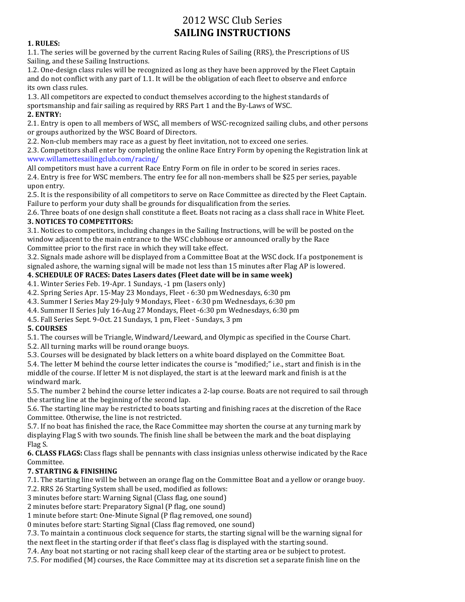# 2012 WSC Club Series **SAILING INSTRUCTIONS**

#### **1. RULES:**

1.1. The series will be governed by the current Racing Rules of Sailing (RRS), the Prescriptions of US Sailing, and these Sailing Instructions.

1.2. One-design class rules will be recognized as long as they have been approved by the Fleet Captain and do not conflict with any part of 1.1. It will be the obligation of each fleet to observe and enforce its own class rules.

1.3. All competitors are expected to conduct themselves according to the highest standards of sportsmanship and fair sailing as required by RRS Part 1 and the By-Laws of WSC.

#### **2. ENTRY:**

2.1. Entry is open to all members of WSC, all members of WSC-recognized sailing clubs, and other persons or groups authorized by the WSC Board of Directors.

2.2. Non-club members may race as a guest by fleet invitation, not to exceed one series.

2.3. Competitors shall enter by completing the online Race Entry Form by opening the Registration link at www.willamettesailingclub.com/racing/

All competitors must have a current Race Entry Form on file in order to be scored in series races.

2.4. Entry is free for WSC members. The entry fee for all non-members shall be \$25 per series, payable upon entry.

2.5. It is the responsibility of all competitors to serve on Race Committee as directed by the Fleet Captain. Failure to perform your duty shall be grounds for disqualification from the series.

2.6. Three boats of one design shall constitute a fleet. Boats not racing as a class shall race in White Fleet. **3. NOTICES TO COMPETITORS:**

3.1. Notices to competitors, including changes in the Sailing Instructions, will be will be posted on the window adjacent to the main entrance to the WSC clubhouse or announced orally by the Race Committee prior to the first race in which they will take effect.

3.2. Signals made ashore will be displayed from a Committee Boat at the WSC dock. If a postponement is signaled ashore, the warning signal will be made not less than 15 minutes after Flag AP is lowered.

### **4. SCHEDULE OF RACES: Dates Lasers dates (Fleet date will be in same week)**

4.1. Winter Series Feb. 19-Apr. 1 Sundays, -1 pm (lasers only)

4.2. Spring Series Apr. 15-May 23 Mondays, Fleet - 6:30 pm Wednesdays, 6:30 pm

4.3. Summer I Series May 29-July 9 Mondays, Fleet - 6:30 pm Wednesdays, 6:30 pm

4.4. Summer II Series July 16-Aug 27 Mondays, Fleet -6:30 pm Wednesdays, 6:30 pm

4.5. Fall Series Sept. 9-Oct. 21 Sundays, 1 pm, Fleet - Sundays, 3 pm

### **5. COURSES**

5.1. The courses will be Triangle, Windward/Leeward, and Olympic as specified in the Course Chart.

5.2. All turning marks will be round orange buoys.

5.3. Courses will be designated by black letters on a white board displayed on the Committee Boat.

5.4. The letter M behind the course letter indicates the course is "modified;" i.e., start and finish is in the middle of the course. If letter M is not displayed, the start is at the leeward mark and finish is at the windward mark.

5.5. The number 2 behind the course letter indicates a 2-lap course. Boats are not required to sail through the starting line at the beginning of the second lap.

5.6. The starting line may be restricted to boats starting and finishing races at the discretion of the Race Committee. Otherwise, the line is not restricted.

5.7. If no boat has finished the race, the Race Committee may shorten the course at any turning mark by displaying Flag S with two sounds. The finish line shall be between the mark and the boat displaying Flag S.

**6. CLASS FLAGS:** Class flags shall be pennants with class insignias unless otherwise indicated by the Race Committee.

### **7. STARTING & FINISHING**

7.1. The starting line will be between an orange flag on the Committee Boat and a yellow or orange buoy.

7.2. RRS 26 Starting System shall be used, modified as follows:

3 minutes before start: Warning Signal (Class flag, one sound)

2 minutes before start: Preparatory Signal (P flag, one sound)

1 minute before start: One-Minute Signal (P flag removed, one sound)

0 minutes before start: Starting Signal (Class flag removed, one sound)

7.3. To maintain a continuous clock sequence for starts, the starting signal will be the warning signal for the next fleet in the starting order if that fleet's class flag is displayed with the starting sound.

7.4. Any boat not starting or not racing shall keep clear of the starting area or be subject to protest.

7.5. For modified (M) courses, the Race Committee may at its discretion set a separate finish line on the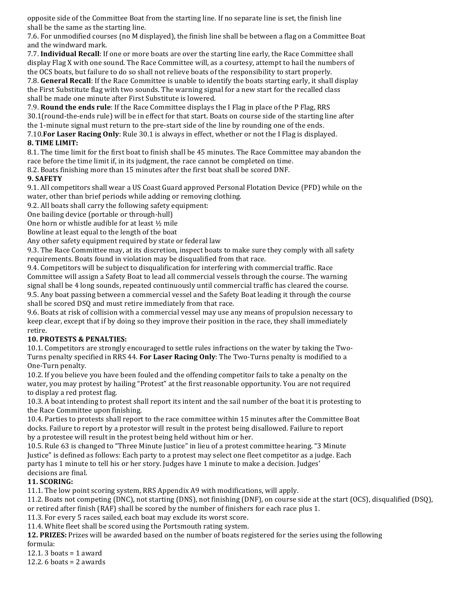opposite side of the Committee Boat from the starting line. If no separate line is set, the finish line shall be the same as the starting line.

7.6. For unmodified courses (no M displayed), the finish line shall be between a flag on a Committee Boat and the windward mark.

7.7. **Individual Recall**: If one or more boats are over the starting line early, the Race Committee shall display Flag X with one sound. The Race Committee will, as a courtesy, attempt to hail the numbers of the OCS boats, but failure to do so shall not relieve boats of the responsibility to start properly.

7.8. **General Recall**: If the Race Committee is unable to identify the boats starting early, it shall display the First Substitute flag with two sounds. The warning signal for a new start for the recalled class shall be made one minute after First Substitute is lowered.

7.9. **Round the ends rule**: If the Race Committee displays the I Flag in place of the P Flag, RRS 30.1(round-the-ends rule) will be in effect for that start. Boats on course side of the starting line after the 1-minute signal must return to the pre-start side of the line by rounding one of the ends.

7.10. For Laser Racing Only: Rule 30.1 is always in effect, whether or not the I Flag is displayed.

## **8. TIME LIMIT:**

8.1. The time limit for the first boat to finish shall be 45 minutes. The Race Committee may abandon the race before the time limit if, in its judgment, the race cannot be completed on time.

8.2. Boats finishing more than 15 minutes after the first boat shall be scored DNF.

### **9. SAFETY**

9.1. All competitors shall wear a US Coast Guard approved Personal Flotation Device (PFD) while on the water, other than brief periods while adding or removing clothing.

9.2. All boats shall carry the following safety equipment:

One bailing device (portable or through-hull)

One horn or whistle audible for at least ½ mile

Bowline at least equal to the length of the boat

Any other safety equipment required by state or federal law

9.3. The Race Committee may, at its discretion, inspect boats to make sure they comply with all safety requirements. Boats found in violation may be disqualified from that race.

9.4. Competitors will be subject to disqualification for interfering with commercial traffic. Race Committee will assign a Safety Boat to lead all commercial vessels through the course. The warning signal shall be 4 long sounds, repeated continuously until commercial traffic has cleared the course. 9.5. Any boat passing between a commercial vessel and the Safety Boat leading it through the course shall be scored DSQ and must retire immediately from that race.

9.6. Boats at risk of collision with a commercial vessel may use any means of propulsion necessary to keep clear, except that if by doing so they improve their position in the race, they shall immediately retire.

### **10. PROTESTS & PENALTIES:**

10.1. Competitors are strongly encouraged to settle rules infractions on the water by taking the Two-Turns penalty specified in RRS 44. **For Laser Racing Only**: The Two-Turns penalty is modified to a One-Turn penalty.

10.2. If you believe you have been fouled and the offending competitor fails to take a penalty on the water, you may protest by hailing "Protest" at the first reasonable opportunity. You are not required to display a red protest flag.

10.3. A boat intending to protest shall report its intent and the sail number of the boat it is protesting to the Race Committee upon finishing.

10.4. Parties to protests shall report to the race committee within 15 minutes after the Committee Boat docks. Failure to report by a protestor will result in the protest being disallowed. Failure to report by a protestee will result in the protest being held without him or her.

10.5. Rule 63 is changed to "Three Minute Justice" in lieu of a protest committee hearing. "3 Minute Justice" is defined as follows: Each party to a protest may select one fleet competitor as a judge. Each party has 1 minute to tell his or her story. Judges have 1 minute to make a decision. Judges' decisions are final.

### **11. SCORING:**

11.1. The low point scoring system, RRS Appendix A9 with modifications, will apply.

11.2. Boats not competing (DNC), not starting (DNS), not finishing (DNF), on course side at the start (OCS), disqualified (DSQ), or retired after finish (RAF) shall be scored by the number of finishers for each race plus 1.

11.3. For every 5 races sailed, each boat may exclude its worst score.

11.4. White fleet shall be scored using the Portsmouth rating system.

**12. PRIZES:** Prizes will be awarded based on the number of boats registered for the series using the following formula:

12.1. 3 boats = 1 award

12.2. 6 boats = 2 awards